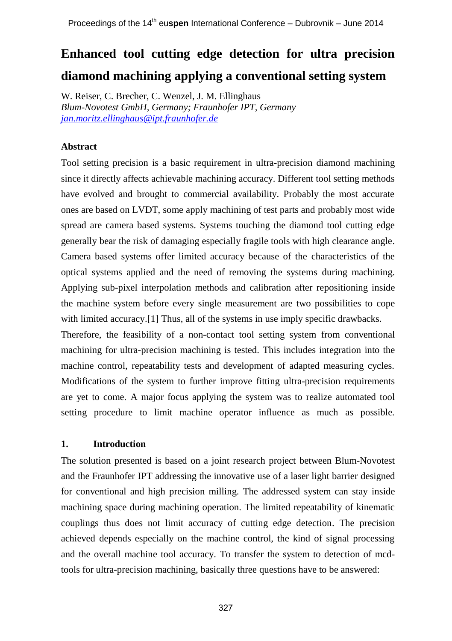# **Enhanced tool cutting edge detection for ultra precision diamond machining applying a conventional setting system**

W. Reiser, C. Brecher, C. Wenzel, J. M. Ellinghaus *Blum-Novotest GmbH, Germany; Fraunhofer IPT, Germany [jan.moritz.ellinghaus@ipt.fraunhofer.de](mailto:jan.moritz.ellinghaus@ipt.fraunhofer.de)*

## **Abstract**

Tool setting precision is a basic requirement in ultra-precision diamond machining since it directly affects achievable machining accuracy. Different tool setting methods have evolved and brought to commercial availability. Probably the most accurate ones are based on LVDT, some apply machining of test parts and probably most wide spread are camera based systems. Systems touching the diamond tool cutting edge generally bear the risk of damaging especially fragile tools with high clearance angle. Camera based systems offer limited accuracy because of the characteristics of the optical systems applied and the need of removing the systems during machining. Applying sub-pixel interpolation methods and calibration after repositioning inside the machine system before every single measurement are two possibilities to cope with limited accuracy.[1] Thus, all of the systems in use imply specific drawbacks. Therefore, the feasibility of a non-contact tool setting system from conventional machining for ultra-precision machining is tested. This includes integration into the

machine control, repeatability tests and development of adapted measuring cycles. Modifications of the system to further improve fitting ultra-precision requirements are yet to come. A major focus applying the system was to realize automated tool setting procedure to limit machine operator influence as much as possible.

## **1. Introduction**

The solution presented is based on a joint research project between Blum-Novotest and the Fraunhofer IPT addressing the innovative use of a laser light barrier designed for conventional and high precision milling. The addressed system can stay inside machining space during machining operation. The limited repeatability of kinematic couplings thus does not limit accuracy of cutting edge detection. The precision achieved depends especially on the machine control, the kind of signal processing and the overall machine tool accuracy. To transfer the system to detection of mcdtools for ultra-precision machining, basically three questions have to be answered: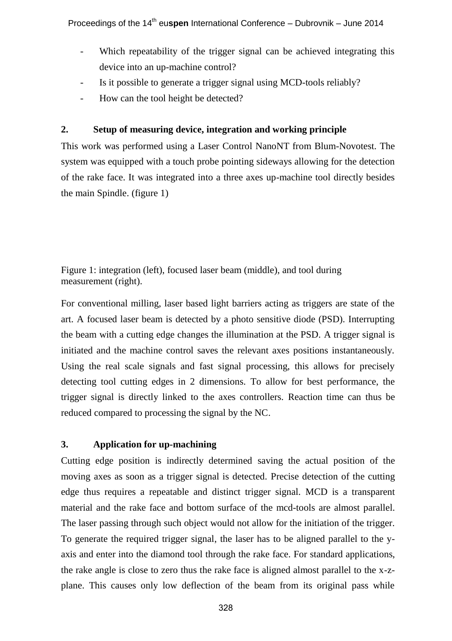- Which repeatability of the trigger signal can be achieved integrating this device into an up-machine control?
- Is it possible to generate a trigger signal using MCD-tools reliably?
- How can the tool height be detected?

## **2. Setup of measuring device, integration and working principle**

This work was performed using a Laser Control NanoNT from Blum-Novotest. The system was equipped with a touch probe pointing sideways allowing for the detection of the rake face. It was integrated into a three axes up-machine tool directly besides the main Spindle. (figure 1)

Figure 1: integration (left), focused laser beam (middle), and tool during measurement (right).

For conventional milling, laser based light barriers acting as triggers are state of the art. A focused laser beam is detected by a photo sensitive diode (PSD). Interrupting the beam with a cutting edge changes the illumination at the PSD. A trigger signal is initiated and the machine control saves the relevant axes positions instantaneously. Using the real scale signals and fast signal processing, this allows for precisely detecting tool cutting edges in 2 dimensions. To allow for best performance, the trigger signal is directly linked to the axes controllers. Reaction time can thus be reduced compared to processing the signal by the NC.

# **3. Application for up-machining**

Cutting edge position is indirectly determined saving the actual position of the moving axes as soon as a trigger signal is detected. Precise detection of the cutting edge thus requires a repeatable and distinct trigger signal. MCD is a transparent material and the rake face and bottom surface of the mcd-tools are almost parallel. The laser passing through such object would not allow for the initiation of the trigger. To generate the required trigger signal, the laser has to be aligned parallel to the yaxis and enter into the diamond tool through the rake face. For standard applications, the rake angle is close to zero thus the rake face is aligned almost parallel to the x-zplane. This causes only low deflection of the beam from its original pass while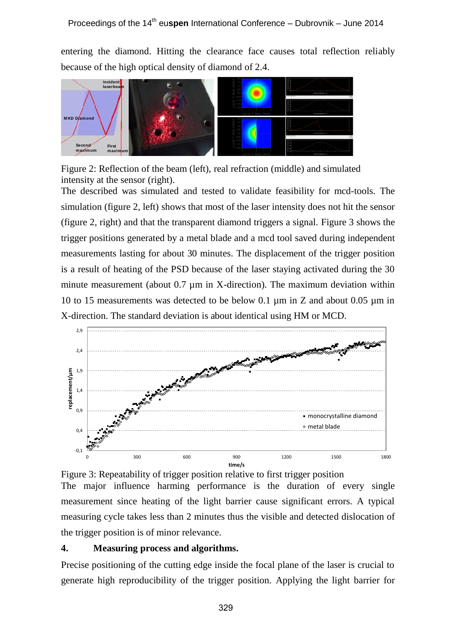entering the diamond. Hitting the clearance face causes total reflection reliably because of the high optical density of diamond of 2.4.



Figure 2: Reflection of the beam (left), real refraction (middle) and simulated intensity at the sensor (right).

The described was simulated and tested to validate feasibility for mcd-tools. The simulation (figure 2, left) shows that most of the laser intensity does not hit the sensor (figure 2, right) and that the transparent diamond triggers a signal. Figure 3 shows the trigger positions generated by a metal blade and a mcd tool saved during independent measurements lasting for about 30 minutes. The displacement of the trigger position is a result of heating of the PSD because of the laser staying activated during the 30 minute measurement (about  $0.7 \mu m$  in X-direction). The maximum deviation within 10 to 15 measurements was detected to be below 0.1 µm in Z and about 0.05 µm in X-direction. The standard deviation is about identical using HM or MCD.



Figure 3: Repeatability of trigger position relative to first trigger position The major influence harming performance is the duration of every single measurement since heating of the light barrier cause significant errors. A typical measuring cycle takes less than 2 minutes thus the visible and detected dislocation of the trigger position is of minor relevance.

#### **4. Measuring process and algorithms.**

Precise positioning of the cutting edge inside the focal plane of the laser is crucial to generate high reproducibility of the trigger position. Applying the light barrier for